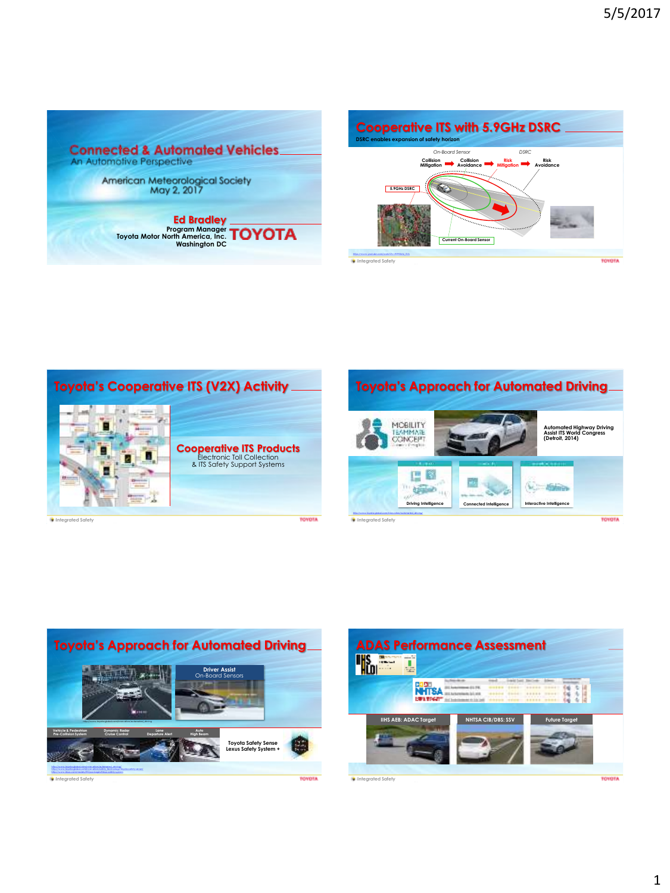





**Integrated Safety**





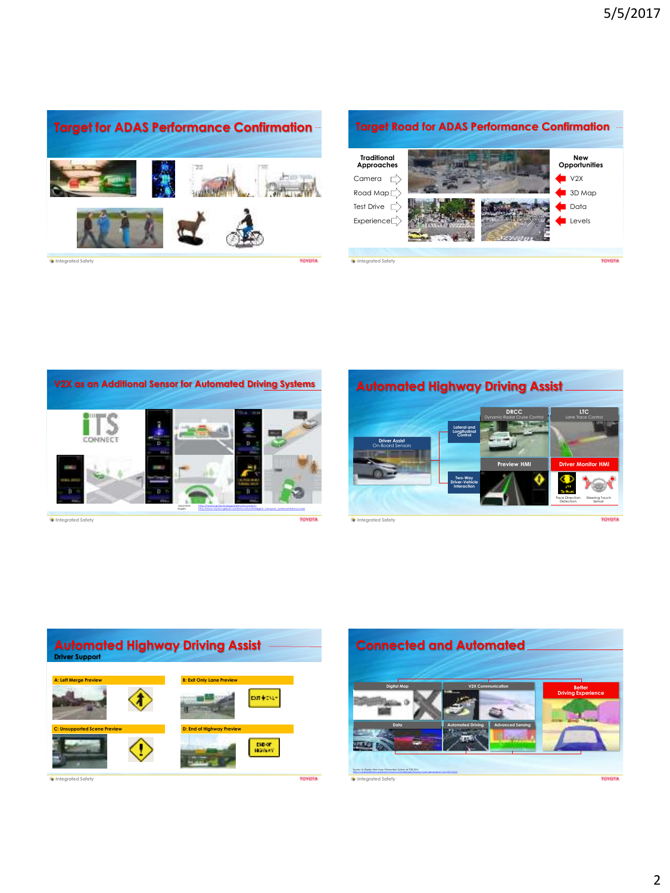

**Target Road for ADAS Performance Confirmation Traditional Approaches New Opportunities** Camera  $\overrightarrow{L}$ V2X Road Map  $\Rightarrow$ 3D Map Test Drive  $\overrightarrow{L}$ **D**ata Experience<sup>1</sup> Levels **Integrated Safety TOYOTA** 



**Integrated Safety**





**Integrated Safety**

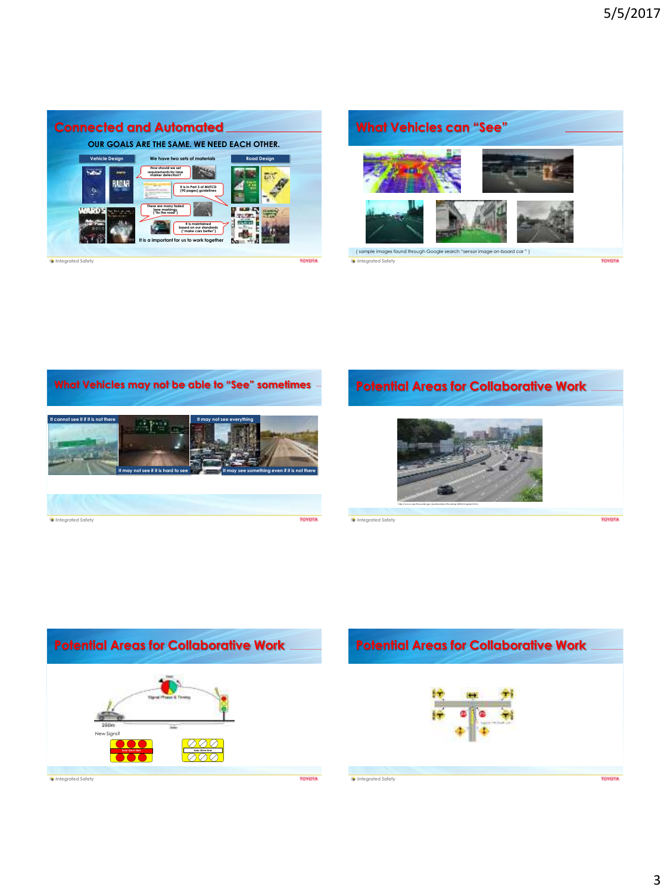



**What Vehicles may not be able to "See" sometimes It cannot see it if it is not there It may not see everything** Google Map **It may not see if it is hard to see It may see something even if it is not there Integrated Safety TOYOTA** 

## **Potential Areas for Collaborative Work**



**Integrated Safety**



**TOYOTA**